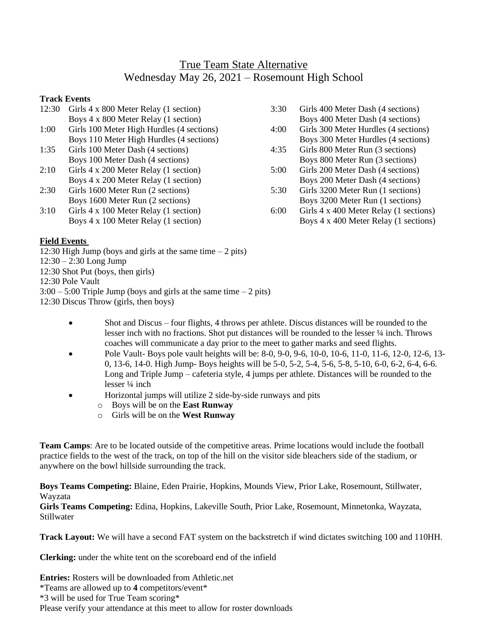## True Team State Alternative Wednesday May 26, 2021 – Rosemount High School

## **Track Events**

| 12:30 | Girls 4 x 800 Meter Relay (1 section)     | 3:30 | Girls 400 Meter Dash (4 sections)      |
|-------|-------------------------------------------|------|----------------------------------------|
|       | Boys 4 x 800 Meter Relay (1 section)      |      | Boys 400 Meter Dash (4 sections)       |
| 1:00  | Girls 100 Meter High Hurdles (4 sections) | 4:00 | Girls 300 Meter Hurdles (4 sections)   |
|       | Boys 110 Meter High Hurdles (4 sections)  |      | Boys 300 Meter Hurdles (4 sections)    |
| 1:35  | Girls 100 Meter Dash (4 sections)         | 4:35 | Girls 800 Meter Run (3 sections)       |
|       | Boys 100 Meter Dash (4 sections)          |      | Boys 800 Meter Run (3 sections)        |
| 2:10  | Girls 4 x 200 Meter Relay (1 section)     | 5:00 | Girls 200 Meter Dash (4 sections)      |
|       | Boys 4 x 200 Meter Relay (1 section)      |      | Boys 200 Meter Dash (4 sections)       |
| 2:30  | Girls 1600 Meter Run (2 sections)         | 5:30 | Girls 3200 Meter Run (1 sections)      |
|       | Boys 1600 Meter Run (2 sections)          |      | Boys 3200 Meter Run (1 sections)       |
| 3:10  | Girls 4 x 100 Meter Relay (1 section)     | 6:00 | Girls 4 x 400 Meter Relay (1 sections) |
|       | Boys 4 x 100 Meter Relay (1 section)      |      | Boys 4 x 400 Meter Relay (1 sections)  |
|       |                                           |      |                                        |

## **Field Events**

12:30 High Jump (boys and girls at the same time – 2 pits) 12:30 – 2:30 Long Jump 12:30 Shot Put (boys, then girls) 12:30 Pole Vault  $3:00 - 5:00$  Triple Jump (boys and girls at the same time  $-2$  pits)

12:30 Discus Throw (girls, then boys)

- Shot and Discus four flights, 4 throws per athlete. Discus distances will be rounded to the lesser inch with no fractions. Shot put distances will be rounded to the lesser ¼ inch. Throws coaches will communicate a day prior to the meet to gather marks and seed flights.
- Pole Vault- Boys pole vault heights will be:  $8-0$ ,  $9-0$ ,  $9-6$ ,  $10-0$ ,  $10-6$ ,  $11-0$ ,  $11-6$ ,  $12-0$ ,  $12-6$ ,  $13-0$ 0, 13-6, 14-0. High Jump- Boys heights will be 5-0, 5-2, 5-4, 5-6, 5-8, 5-10, 6-0, 6-2, 6-4, 6-6. Long and Triple Jump – cafeteria style, 4 jumps per athlete. Distances will be rounded to the lesser ¼ inch
- Horizontal jumps will utilize 2 side-by-side runways and pits
	- o Boys will be on the **East Runway**
	- o Girls will be on the **West Runway**

**Team Camps**: Are to be located outside of the competitive areas. Prime locations would include the football practice fields to the west of the track, on top of the hill on the visitor side bleachers side of the stadium, or anywhere on the bowl hillside surrounding the track.

**Boys Teams Competing:** Blaine, Eden Prairie, Hopkins, Mounds View, Prior Lake, Rosemount, Stillwater, Wayzata

**Girls Teams Competing:** Edina, Hopkins, Lakeville South, Prior Lake, Rosemount, Minnetonka, Wayzata, Stillwater

**Track Layout:** We will have a second FAT system on the backstretch if wind dictates switching 100 and 110HH.

**Clerking:** under the white tent on the scoreboard end of the infield

**Entries:** Rosters will be downloaded from Athletic.net

\*Teams are allowed up to **4** competitors/event\*

\*3 will be used for True Team scoring\*

Please verify your attendance at this meet to allow for roster downloads